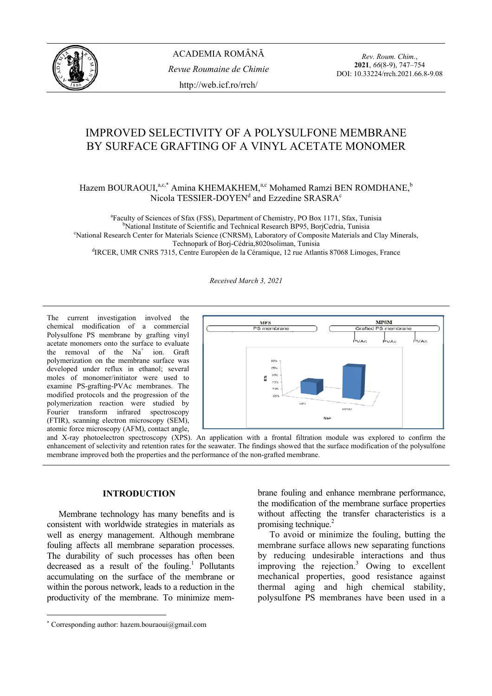

*Rev. Roum. Chim.*, **2021**, *66*(8-9), 747–754 DOI: 10.33224/rrch.2021.66.8-9.08

# IMPROVED SELECTIVITY OF A POLYSULFONE MEMBRANE BY SURFACE GRAFTING OF A VINYL ACETATE MONOMER

# Hazem BOURAOUI,<sup>a,c,\*</sup> Amina KHEMAKHEM,<sup>a,c</sup> Mohamed Ramzi BEN ROMDHANE,<sup>b</sup> Nicola TESSIER-DOYEN<sup>d</sup> and Ezzedine SRASRA<sup>c</sup>

<sup>a</sup> Faculty of Sciences of Sfax (FSS), Department of Chemistry, PO Box 1171, Sfax, Tunisia<br><sup>b</sup>Notional Institute of Scientific and Technical Because BD05, BeriCedric, Tunisia <sup>b</sup>National Institute of Scientific and Technical Research BP95, BorjCedria, Tunisia National Research Center for Materials Science (CNRSM), Laboratory of Composite Materials and Clay Minerals, Technopark of Borj-Cédria, 8020 soliman, Tunisia<br>dIRCER, UMR CNRS 7315, Centre Européen de la Céramique, 12 rue Atlantis 87068 Limoges, France

*Received March 3, 2021* 

The current investigation involved the chemical modification of a commercial Polysulfone PS membrane by grafting vinyl acetate monomers onto the surface to evaluate the removal of the  $Na<sup>+</sup>$  ion. Graft polymerization on the membrane surface was developed under reflux in ethanol; several moles of monomer/initiator were used to examine PS-grafting-PVAc membranes. The modified protocols and the progression of the polymerization reaction were studied by Fourier transform infrared spectroscopy (FTIR), scanning electron microscopy (SEM), atomic force microscopy (AFM), contact angle,



and X-ray photoelectron spectroscopy (XPS). An application with a frontal filtration module was explored to confirm the enhancement of selectivity and retention rates for the seawater. The findings showed that the surface modification of the polysulfone membrane improved both the properties and the performance of the non-grafted membrane.

## **INTRODUCTION**<sup>∗</sup>

 Membrane technology has many benefits and is consistent with worldwide strategies in materials as well as energy management. Although membrane fouling affects all membrane separation processes. The durability of such processes has often been decreased as a result of the fouling.<sup>1</sup> Pollutants accumulating on the surface of the membrane or within the porous network, leads to a reduction in the productivity of the membrane. To minimize mem-

brane fouling and enhance membrane performance, the modification of the membrane surface properties without affecting the transfer characteristics is a promising technique.<sup>2</sup>

 To avoid or minimize the fouling, butting the membrane surface allows new separating functions by reducing undesirable interactions and thus improving the rejection.3 Owing to excellent mechanical properties, good resistance against thermal aging and high chemical stability, polysulfone PS membranes have been used in a

<sup>∗</sup> Corresponding author: hazem.bouraoui@gmail.com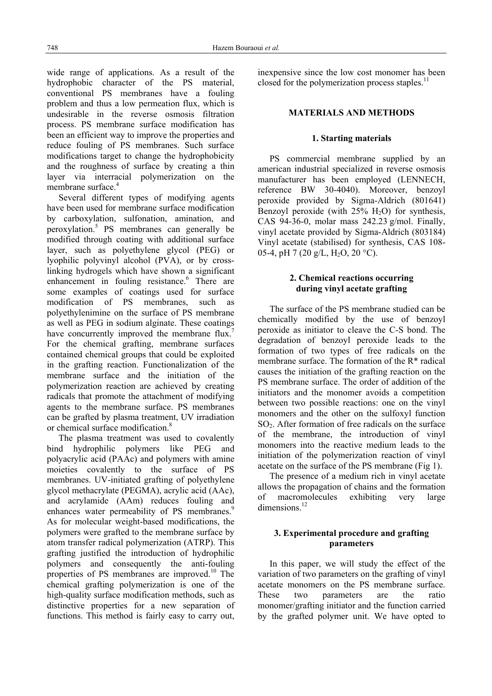wide range of applications. As a result of the hydrophobic character of the PS material, conventional PS membranes have a fouling problem and thus a low permeation flux, which is undesirable in the reverse osmosis filtration process. PS membrane surface modification has been an efficient way to improve the properties and reduce fouling of PS membranes. Such surface modifications target to change the hydrophobicity and the roughness of surface by creating a thin layer via interracial polymerization on the membrane surface.<sup>4</sup>

 Several different types of modifying agents have been used for membrane surface modification by carboxylation, sulfonation, amination, and peroxylation.<sup>5</sup> PS membranes can generally be modified through coating with additional surface layer, such as polyethylene glycol (PEG) or lyophilic polyvinyl alcohol (PVA), or by crosslinking hydrogels which have shown a significant enhancement in fouling resistance.<sup>6</sup> There are some examples of coatings used for surface modification of PS membranes, such as polyethylenimine on the surface of PS membrane as well as PEG in sodium alginate. These coatings have concurrently improved the membrane flux.<sup>7</sup> For the chemical grafting, membrane surfaces contained chemical groups that could be exploited in the grafting reaction. Functionalization of the membrane surface and the initiation of the polymerization reaction are achieved by creating radicals that promote the attachment of modifying agents to the membrane surface. PS membranes can be grafted by plasma treatment, UV irradiation or chemical surface modification.<sup>8</sup>

 The plasma treatment was used to covalently bind hydrophilic polymers like PEG and polyacrylic acid (PAAc) and polymers with amine moieties covalently to the surface of PS membranes. UV-initiated grafting of polyethylene glycol methacrylate (PEGMA), acrylic acid (AAc), and acrylamide (AAm) reduces fouling and enhances water permeability of PS membranes.<sup>9</sup> As for molecular weight-based modifications, the polymers were grafted to the membrane surface by atom transfer radical polymerization (ATRP). This grafting justified the introduction of hydrophilic polymers and consequently the anti-fouling properties of PS membranes are improved.10 The chemical grafting polymerization is one of the high-quality surface modification methods, such as distinctive properties for a new separation of functions. This method is fairly easy to carry out,

inexpensive since the low cost monomer has been closed for the polymerization process staples. $^{11}$ 

## **MATERIALS AND METHODS**

#### **1. Starting materials**

 PS commercial membrane supplied by an american industrial specialized in reverse osmosis manufacturer has been employed (LENNECH, reference BW 30-4040). Moreover, benzoyl peroxide provided by Sigma-Aldrich (801641) Benzoyl peroxide (with  $25\%$  H<sub>2</sub>O) for synthesis, CAS 94-36-0, molar mass 242.23 g/mol. Finally, vinyl acetate provided by Sigma-Aldrich (803184) Vinyl acetate (stabilised) for synthesis, CAS 108- 05-4, pH 7 (20 g/L, H<sub>2</sub>O, 20 °C).

## **2. Chemical reactions occurring during vinyl acetate grafting**

 The surface of the PS membrane studied can be chemically modified by the use of benzoyl peroxide as initiator to cleave the C-S bond. The degradation of benzoyl peroxide leads to the formation of two types of free radicals on the membrane surface. The formation of the R\* radical causes the initiation of the grafting reaction on the PS membrane surface. The order of addition of the initiators and the monomer avoids a competition between two possible reactions: one on the vinyl monomers and the other on the sulfoxyl function SO2. After formation of free radicals on the surface of the membrane, the introduction of vinyl monomers into the reactive medium leads to the initiation of the polymerization reaction of vinyl acetate on the surface of the PS membrane (Fig 1).

 The presence of a medium rich in vinyl acetate allows the propagation of chains and the formation of macromolecules exhibiting very large dimensions.<sup>12</sup>

## **3. Experimental procedure and grafting parameters**

In this paper, we will study the effect of the variation of two parameters on the grafting of vinyl acetate monomers on the PS membrane surface. These two parameters are the ratio monomer/grafting initiator and the function carried by the grafted polymer unit. We have opted to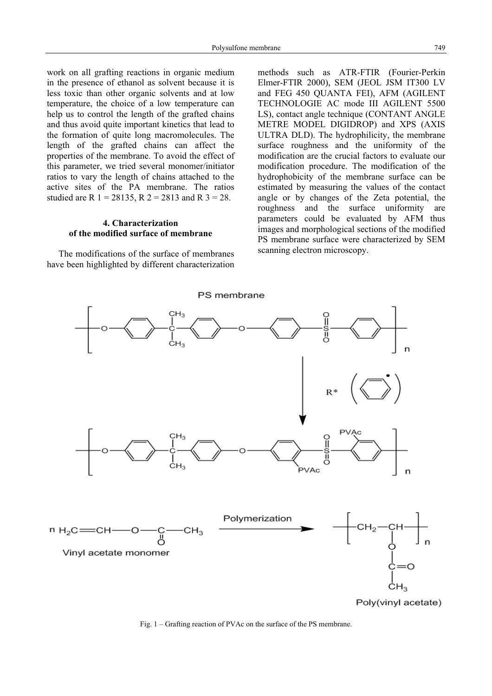work on all grafting reactions in organic medium in the presence of ethanol as solvent because it is less toxic than other organic solvents and at low temperature, the choice of a low temperature can help us to control the length of the grafted chains and thus avoid quite important kinetics that lead to the formation of quite long macromolecules. The length of the grafted chains can affect the properties of the membrane. To avoid the effect of this parameter, we tried several monomer/initiator ratios to vary the length of chains attached to the active sites of the PA membrane. The ratios studied are R  $1 = 28135$ , R  $2 = 2813$  and R  $3 = 28$ .

# **4. Characterization of the modified surface of membrane**

 The modifications of the surface of membranes have been highlighted by different characterization methods such as ATR-FTIR (Fourier-Perkin Elmer-FTIR 2000), SEM (JEOL JSM IT300 LV and FEG 450 QUANTA FEI), AFM (AGILENT TECHNOLOGIE AC mode III AGILENT 5500 LS), contact angle technique (CONTANT ANGLE METRE MODEL DIGIDROP) and XPS (AXIS ULTRA DLD). The hydrophilicity, the membrane surface roughness and the uniformity of the modification are the crucial factors to evaluate our modification procedure. The modification of the hydrophobicity of the membrane surface can be estimated by measuring the values of the contact angle or by changes of the Zeta potential, the roughness and the surface uniformity are parameters could be evaluated by AFM thus images and morphological sections of the modified PS membrane surface were characterized by SEM scanning electron microscopy.



Fig. 1 – Grafting reaction of PVAc on the surface of the PS membrane.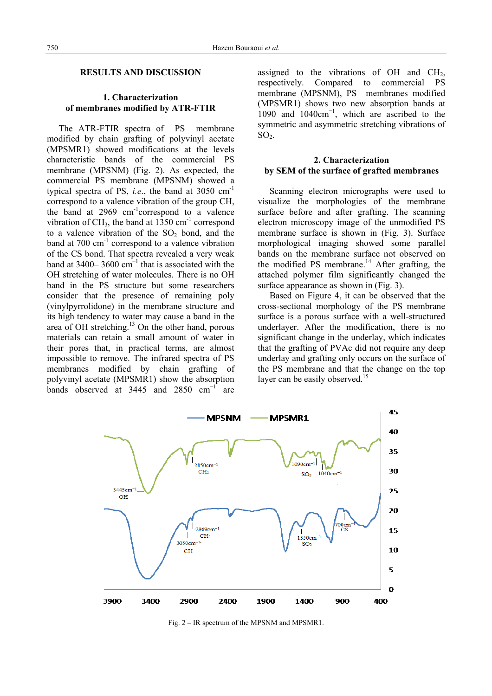### **RESULTS AND DISCUSSION**

## **1. Characterization of membranes modified by ATR-FTIR**

 The ATR-FTIR spectra of PS membrane modified by chain grafting of polyvinyl acetate (MPSMR1) showed modifications at the levels characteristic bands of the commercial PS membrane (MPSNM) (Fig. 2). As expected, the commercial PS membrane (MPSNM) showed a typical spectra of PS, *i.e.*, the band at  $3050 \text{ cm}^{-1}$ correspond to a valence vibration of the group CH, the band at  $2969 \text{ cm}^{-1}$ correspond to a valence vibration of  $CH_3$ , the band at 1350 cm<sup>-1</sup> correspond to a valence vibration of the  $SO<sub>2</sub>$  bond, and the band at  $700 \text{ cm}^{-1}$  correspond to a valence vibration of the CS bond. That spectra revealed a very weak band at  $3400-3600$  cm<sup>-1</sup> that is associated with the OH stretching of water molecules. There is no OH band in the PS structure but some researchers consider that the presence of remaining poly (vinylpyrrolidone) in the membrane structure and its high tendency to water may cause a band in the area of OH stretching.<sup>13</sup> On the other hand, porous materials can retain a small amount of water in their pores that, in practical terms, are almost impossible to remove. The infrared spectra of PS membranes modified by chain grafting of polyvinyl acetate (MPSMR1) show the absorption bands observed at  $3445$  and  $2850$  cm<sup>-1</sup> are assigned to the vibrations of OH and  $CH<sub>2</sub>$ , respectively. Compared to commercial PS membrane (MPSNM), PS membranes modified (MPSMR1) shows two new absorption bands at 1090 and 1040cm<sup>−</sup><sup>1</sup> , which are ascribed to the symmetric and asymmetric stretching vibrations of  $SO<sub>2</sub>$ .

## **2. Characterization by SEM of the surface of grafted membranes**

 Scanning electron micrographs were used to visualize the morphologies of the membrane surface before and after grafting. The scanning electron microscopy image of the unmodified PS membrane surface is shown in (Fig. 3). Surface morphological imaging showed some parallel bands on the membrane surface not observed on the modified PS membrane.<sup>14</sup> After grafting, the attached polymer film significantly changed the surface appearance as shown in (Fig. 3).

 Based on Figure 4, it can be observed that the cross-sectional morphology of the PS membrane surface is a porous surface with a well-structured underlayer. After the modification, there is no significant change in the underlay, which indicates that the grafting of PVAc did not require any deep underlay and grafting only occurs on the surface of the PS membrane and that the change on the top layer can be easily observed.<sup>15</sup>



Fig. 2 – IR spectrum of the MPSNM and MPSMR1.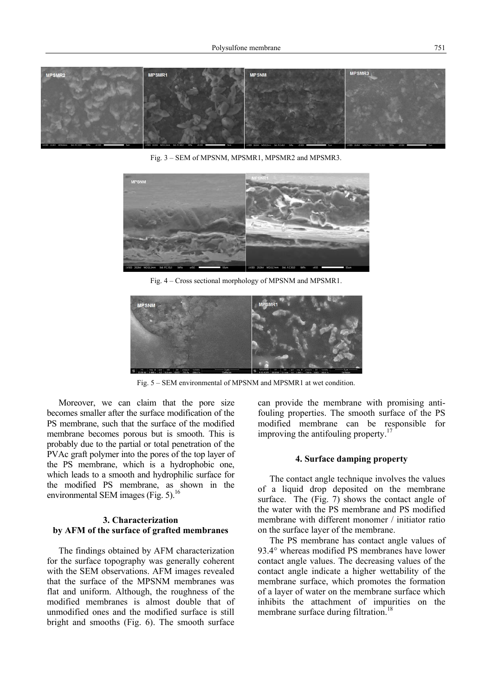

Fig. 3 – SEM of MPSNM, MPSMR1, MPSMR2 and MPSMR3.



Fig. 4 – Cross sectional morphology of MPSNM and MPSMR1.



Fig. 5 – SEM environmental of MPSNM and MPSMR1 at wet condition.

Moreover, we can claim that the pore size becomes smaller after the surface modification of the PS membrane, such that the surface of the modified membrane becomes porous but is smooth. This is probably due to the partial or total penetration of the PVAc graft polymer into the pores of the top layer of the PS membrane, which is a hydrophobic one, which leads to a smooth and hydrophilic surface for the modified PS membrane, as shown in the environmental SEM images (Fig. 5).<sup>16</sup>

## **3. Characterization by AFM of the surface of grafted membranes**

 The findings obtained by AFM characterization for the surface topography was generally coherent with the SEM observations. AFM images revealed that the surface of the MPSNM membranes was flat and uniform. Although, the roughness of the modified membranes is almost double that of unmodified ones and the modified surface is still bright and smooths (Fig. 6). The smooth surface

can provide the membrane with promising antifouling properties. The smooth surface of the PS modified membrane can be responsible for improving the antifouling property. $17$ 

#### **4. Surface damping property**

 The contact angle technique involves the values of a liquid drop deposited on the membrane surface. The (Fig. 7) shows the contact angle of the water with the PS membrane and PS modified membrane with different monomer / initiator ratio on the surface layer of the membrane.

 The PS membrane has contact angle values of 93.4° whereas modified PS membranes have lower contact angle values. The decreasing values of the contact angle indicate a higher wettability of the membrane surface, which promotes the formation of a layer of water on the membrane surface which inhibits the attachment of impurities on the membrane surface during filtration.<sup>18</sup>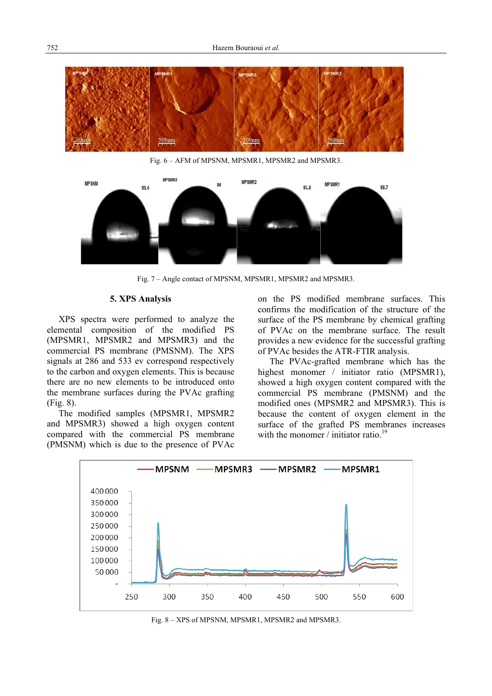

Fig. 6 – AFM of MPSNM, MPSMR1, MPSMR2 and MPSMR3.



Fig. 7 – Angle contact of MPSNM, MPSMR1, MPSMR2 and MPSMR3.

## **5. XPS Analysis**

 XPS spectra were performed to analyze the elemental composition of the modified PS (MPSMR1, MPSMR2 and MPSMR3) and the commercial PS membrane (PMSNM). The XPS signals at 286 and 533 ev correspond respectively to the carbon and oxygen elements. This is because there are no new elements to be introduced onto the membrane surfaces during the PVAc grafting (Fig. 8).

 The modified samples (MPSMR1, MPSMR2 and MPSMR3) showed a high oxygen content compared with the commercial PS membrane (PMSNM) which is due to the presence of PVAc

on the PS modified membrane surfaces. This confirms the modification of the structure of the surface of the PS membrane by chemical grafting of PVAc on the membrane surface. The result provides a new evidence for the successful grafting of PVAc besides the ATR-FTIR analysis.

 The PVAc-grafted membrane which has the highest monomer / initiator ratio (MPSMR1), showed a high oxygen content compared with the commercial PS membrane (PMSNM) and the modified ones (MPSMR2 and MPSMR3). This is because the content of oxygen element in the surface of the grafted PS membranes increases with the monomer / initiator ratio.<sup>19</sup>



Fig. 8 – XPS of MPSNM, MPSMR1, MPSMR2 and MPSMR3.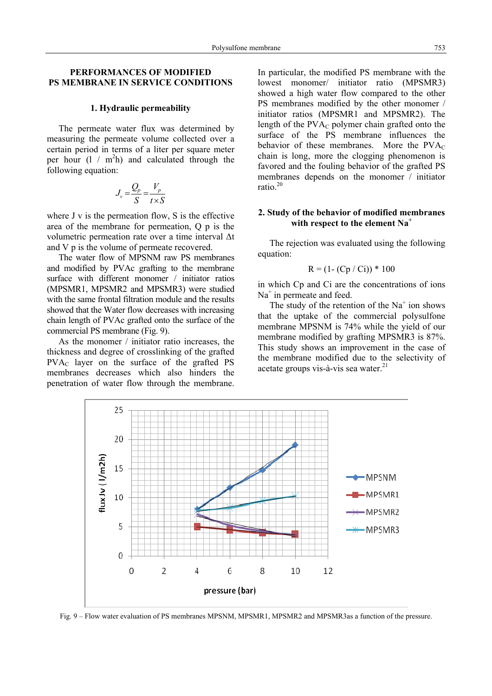## **PERFORMANCES OF MODIFIED PS MEMBRANE IN SERVICE CONDITIONS**

#### **1. Hydraulic permeability**

 The permeate water flux was determined by measuring the permeate volume collected over a certain period in terms of a liter per square meter per hour  $(1 / m^2 h)$  and calculated through the following equation:

$$
J_v = \frac{Q_p}{S} = \frac{V_p}{t \times S}
$$

where J v is the permeation flow, S is the effective area of the membrane for permeation, Q p is the volumetric permeation rate over a time interval Δt and V p is the volume of permeate recovered.

The water flow of MPSNM raw PS membranes and modified by PVAc grafting to the membrane surface with different monomer / initiator ratios (MPSMR1, MPSMR2 and MPSMR3) were studied with the same frontal filtration module and the results showed that the Water flow decreases with increasing chain length of PVAc grafted onto the surface of the commercial PS membrane (Fig. 9).

 As the monomer / initiator ratio increases, the thickness and degree of crosslinking of the grafted PVAC layer on the surface of the grafted PS membranes decreases which also hinders the penetration of water flow through the membrane.

In particular, the modified PS membrane with the lowest monomer/ initiator ratio (MPSMR3) showed a high water flow compared to the other PS membranes modified by the other monomer / initiator ratios (MPSMR1 and MPSMR2). The length of the  $PVA<sub>C</sub>$  polymer chain grafted onto the surface of the PS membrane influences the behavior of these membranes. More the  $PVA<sub>C</sub>$ chain is long, more the clogging phenomenon is favored and the fouling behavior of the grafted PS membranes depends on the monomer / initiator ratio.<sup>20</sup>

## **2. Study of the behavior of modified membranes with respect to the element Na<sup>+</sup>**

 The rejection was evaluated using the following equation:

$$
R = (1 - (Cp / Ci)) * 100
$$

in which Cp and Ci are the concentrations of ions Na<sup>+</sup> in permeate and feed.

The study of the retention of the  $Na<sup>+</sup>$  ion shows that the uptake of the commercial polysulfone membrane MPSNM is 74% while the yield of our membrane modified by grafting MPSMR3 is 87%. This study shows an improvement in the case of the membrane modified due to the selectivity of acetate groups vis-à-vis sea water. $^{21}$ 



Fig. 9 – Flow water evaluation of PS membranes MPSNM, MPSMR1, MPSMR2 and MPSMR3as a function of the pressure.